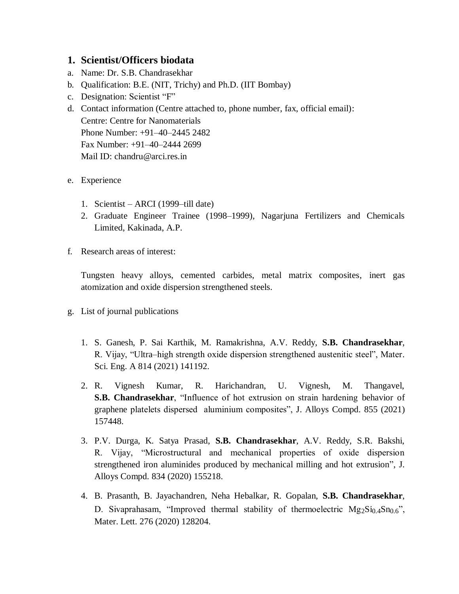## **1. Scientist/Officers biodata**

- a. Name: Dr. S.B. Chandrasekhar
- b. Qualification: B.E. (NIT, Trichy) and Ph.D. (IIT Bombay)
- c. Designation: Scientist "F"
- d. Contact information (Centre attached to, phone number, fax, official email): Centre: Centre for Nanomaterials Phone Number: +91–40–2445 2482 Fax Number: +91–40–2444 2699 Mail ID: chandru@arci.res.in
- e. Experience
	- 1. Scientist ARCI (1999–till date)
	- 2. Graduate Engineer Trainee (1998–1999), Nagarjuna Fertilizers and Chemicals Limited, Kakinada, A.P.
- f. Research areas of interest:

Tungsten heavy alloys, cemented carbides, metal matrix composites, inert gas atomization and oxide dispersion strengthened steels.

- g. List of journal publications
	- 1. S. Ganesh, P. Sai Karthik, M. Ramakrishna, A.V. Reddy, **S.B. Chandrasekhar**, R. Vijay, "Ultra–high strength oxide dispersion strengthened austenitic steel", Mater. Sci. Eng. A 814 (2021) 141192.
	- 2. R. Vignesh Kumar, R. Harichandran, U. Vignesh, M. Thangavel, **S.B. Chandrasekhar**, "Influence of hot extrusion on strain hardening behavior of graphene platelets dispersed aluminium composites", J. Alloys Compd. 855 (2021) 157448.
	- 3. P.V. Durga, K. Satya Prasad, **S.B. Chandrasekhar**, A.V. Reddy, S.R. Bakshi, R. Vijay, "Microstructural and mechanical properties of oxide dispersion strengthened iron aluminides produced by mechanical milling and hot extrusion", J. Alloys Compd. 834 (2020) 155218.
	- 4. B. Prasanth, B. Jayachandren, Neha Hebalkar, R. Gopalan, **S.B. Chandrasekhar**, D. Sivaprahasam, "Improved thermal stability of thermoelectric  $Mg_2Si_{0.4}Sn_{0.6}$ ", Mater. Lett. 276 (2020) 128204.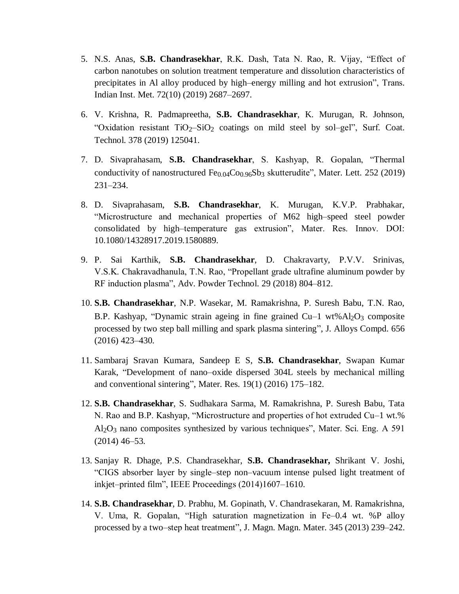- 5. N.S. Anas, **S.B. Chandrasekhar**, R.K. Dash, Tata N. Rao, R. Vijay, "Effect of carbon nanotubes on solution treatment temperature and dissolution characteristics of precipitates in Al alloy produced by high–energy milling and hot extrusion", Trans. Indian Inst. Met. 72(10) (2019) 2687–2697.
- 6. V. Krishna, R. Padmapreetha, **S.B. Chandrasekhar**, K. Murugan, R. Johnson, "Oxidation resistant TiO<sub>2</sub>-SiO<sub>2</sub> coatings on mild steel by sol-gel", Surf. Coat. Technol. 378 (2019) 125041.
- 7. D. Sivaprahasam, **S.B. Chandrasekhar**, S. Kashyap, R. Gopalan, "Thermal conductivity of nanostructured  $Fe_{0.04}Co_{0.96}Sb_3$  skutterudite", Mater. Lett. 252 (2019) 231–234.
- 8. D. Sivaprahasam, **S.B. Chandrasekhar**, K. Murugan, K.V.P. Prabhakar, "Microstructure and mechanical properties of M62 high–speed steel powder consolidated by high–temperature gas extrusion", Mater. Res. Innov. DOI: 10.1080/14328917.2019.1580889.
- 9. P. Sai Karthik, **S.B. Chandrasekhar**, D. Chakravarty, P.V.V. Srinivas, V.S.K. Chakravadhanula, T.N. Rao, "Propellant grade ultrafine aluminum powder by RF induction plasma", Adv. Powder Technol. 29 (2018) 804–812.
- 10. **S.B. Chandrasekhar**, N.P. Wasekar, M. Ramakrishna, P. Suresh Babu, T.N. Rao, B.P. Kashyap, "Dynamic strain ageing in fine grained  $Cu-1$  wt% $Al_2O_3$  composite processed by two step ball milling and spark plasma sintering", J. Alloys Compd. 656 (2016) 423–430.
- 11. Sambaraj Sravan Kumara, Sandeep E S, **S.B. Chandrasekhar**, Swapan Kumar Karak, "Development of nano–oxide dispersed 304L steels by mechanical milling and conventional sintering", Mater. Res. 19(1) (2016) 175–182.
- 12. **S.B. Chandrasekhar**, S. Sudhakara Sarma, M. Ramakrishna, P. Suresh Babu, Tata N. Rao and B.P. Kashyap, "Microstructure and properties of hot extruded Cu–1 wt.% Al2O3 nano composites synthesized by various techniques", Mater. Sci. Eng. A 591 (2014) 46–53.
- 13. Sanjay R. Dhage, P.S. Chandrasekhar, **S.B. Chandrasekhar,** Shrikant V. Joshi, "CIGS absorber layer by single–step non–vacuum intense pulsed light treatment of inkjet–printed film", IEEE Proceedings (2014)1607–1610.
- 14. **S.B. Chandrasekhar**, D. Prabhu, M. Gopinath, V. Chandrasekaran, M. Ramakrishna, V. Uma, R. Gopalan, "High saturation magnetization in Fe–0.4 wt. %P alloy processed by a two–step heat treatment", J. Magn. Magn. Mater. 345 (2013) 239–242.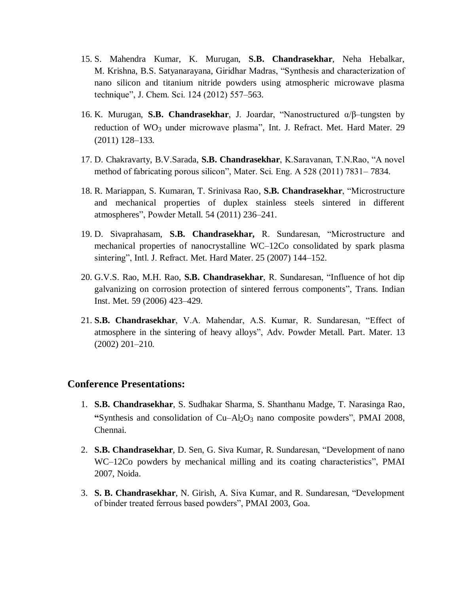- 15. S. Mahendra Kumar, K. Murugan, **S.B. Chandrasekhar**, Neha Hebalkar, M. Krishna, B.S. Satyanarayana, Giridhar Madras, "Synthesis and characterization of nano silicon and titanium nitride powders using atmospheric microwave plasma technique", J. Chem. Sci. 124 (2012) 557–563.
- 16. K. Murugan, **S.B. Chandrasekhar**, J. Joardar, "Nanostructured α/β–tungsten by reduction of WO<sub>3</sub> under microwave plasma", Int. J. Refract. Met. Hard Mater. 29 (2011) 128–133.
- 17. D. Chakravarty, B.V.Sarada, **S.B. Chandrasekhar**, K.Saravanan, T.N.Rao, "A novel method of fabricating porous silicon", Mater. Sci. Eng. A 528 (2011) 7831– 7834.
- 18. R. Mariappan, S. Kumaran, T. Srinivasa Rao, **S.B. Chandrasekhar**, "Microstructure and mechanical properties of duplex stainless steels sintered in different atmospheres", Powder Metall. 54 (2011) 236–241.
- 19. D. Sivaprahasam, **S.B. Chandrasekhar,** R. Sundaresan, "Microstructure and mechanical properties of nanocrystalline WC–12Co consolidated by spark plasma sintering", Intl. J. Refract. Met. Hard Mater. 25 (2007) 144–152.
- 20. G.V.S. Rao, M.H. Rao, **S.B. Chandrasekhar**, R. Sundaresan, ["Influence of hot dip](https://scholar.google.com/citations?view_op=view_citation&hl=en&user=iuY38iMAAAAJ&citation_for_view=iuY38iMAAAAJ:YOwf2qJgpHMC)  [galvanizing on corrosion protection of sintered ferrous components"](https://scholar.google.com/citations?view_op=view_citation&hl=en&user=iuY38iMAAAAJ&citation_for_view=iuY38iMAAAAJ:YOwf2qJgpHMC), Trans. Indian Inst. Met. 59 (2006) 423–429.
- 21. **S.B. Chandrasekhar**, V.A. Mahendar, A.S. Kumar, R. Sundaresan, ["Effect of](https://scholar.google.com/citations?view_op=view_citation&hl=en&user=iuY38iMAAAAJ&citation_for_view=iuY38iMAAAAJ:5nxA0vEk-isC)  [atmosphere in the sintering of heavy alloys"](https://scholar.google.com/citations?view_op=view_citation&hl=en&user=iuY38iMAAAAJ&citation_for_view=iuY38iMAAAAJ:5nxA0vEk-isC), Adv. Powder Metall. Part. Mater. 13 (2002) 201–210.

## **Conference Presentations:**

- 1. **S.B. Chandrasekhar**, S. Sudhakar Sharma, S. Shanthanu Madge, T. Narasinga Rao, "Synthesis and consolidation of  $Cu - Al<sub>2</sub>O<sub>3</sub>$  nano composite powders", PMAI 2008, Chennai.
- 2. **S.B. Chandrasekhar**, D. Sen, G. Siva Kumar, R. Sundaresan, "Development of nano WC–12Co powders by mechanical milling and its coating characteristics", PMAI 2007, Noida.
- 3. **S. B. Chandrasekhar**, N. Girish, A. Siva Kumar, and R. Sundaresan, "Development of binder treated ferrous based powders", PMAI 2003, Goa.